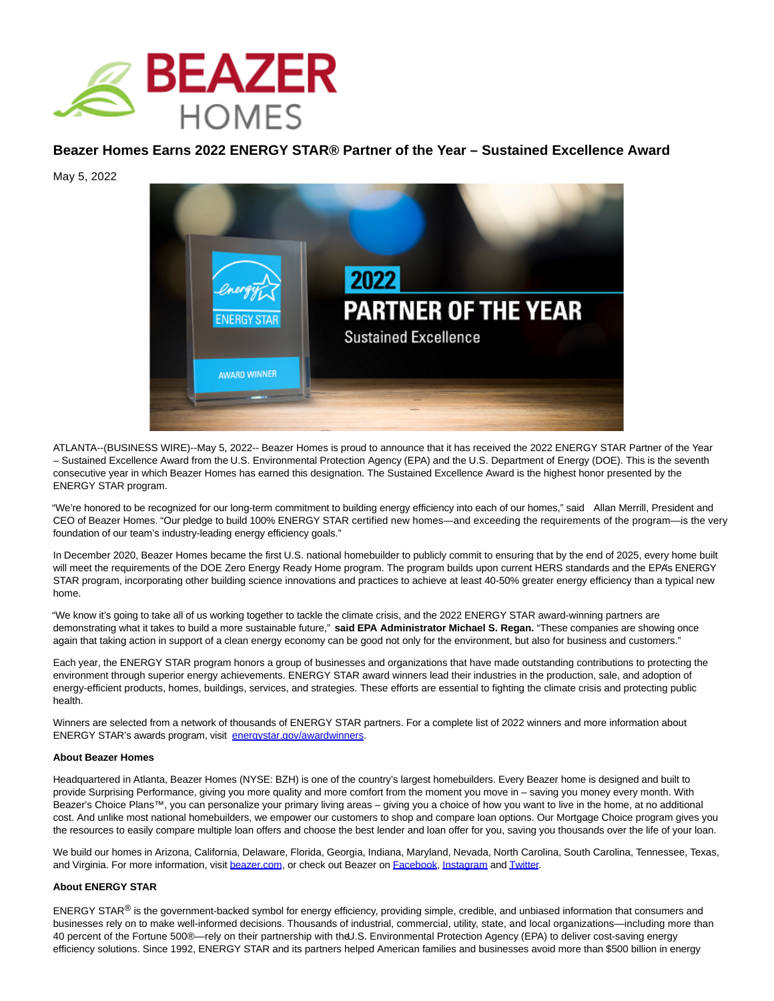

## **Beazer Homes Earns 2022 ENERGY STAR® Partner of the Year – Sustained Excellence Award**

May 5, 2022



ATLANTA--(BUSINESS WIRE)--May 5, 2022-- Beazer Homes is proud to announce that it has received the 2022 ENERGY STAR Partner of the Year – Sustained Excellence Award from the U.S. Environmental Protection Agency (EPA) and the U.S. Department of Energy (DOE). This is the seventh consecutive year in which Beazer Homes has earned this designation. The Sustained Excellence Award is the highest honor presented by the ENERGY STAR program.

"We're honored to be recognized for our long-term commitment to building energy efficiency into each of our homes," said Allan Merrill, President and CEO of Beazer Homes. "Our pledge to build 100% ENERGY STAR certified new homes—and exceeding the requirements of the program—is the very foundation of our team's industry-leading energy efficiency goals."

In December 2020, Beazer Homes became the first U.S. national homebuilder to publicly commit to ensuring that by the end of 2025, every home built will meet the requirements of the DOE Zero Energy Ready Home program. The program builds upon current HERS standards and the EPA's ENERGY STAR program, incorporating other building science innovations and practices to achieve at least 40-50% greater energy efficiency than a typical new home.

"We know it's going to take all of us working together to tackle the climate crisis, and the 2022 ENERGY STAR award-winning partners are demonstrating what it takes to build a more sustainable future," **said EPA Administrator Michael S. Regan.** "These companies are showing once again that taking action in support of a clean energy economy can be good not only for the environment, but also for business and customers."

Each year, the ENERGY STAR program honors a group of businesses and organizations that have made outstanding contributions to protecting the environment through superior energy achievements. ENERGY STAR award winners lead their industries in the production, sale, and adoption of energy-efficient products, homes, buildings, services, and strategies. These efforts are essential to fighting the climate crisis and protecting public health.

Winners are selected from a network of thousands of ENERGY STAR partners. For a complete list of 2022 winners and more information about ENERGY STAR's awards program, visit [energystar.gov/awardwinners.](https://cts.businesswire.com/ct/CT?id=smartlink&url=http%3A%2F%2Fwww.energystar.gov%2Fawardwinners&esheet=52708640&newsitemid=20220505005233&lan=en-US&anchor=energystar.gov%2Fawardwinners&index=1&md5=9ef13aeb6d6189ef7c2f20fa664ae9d8)

## **About Beazer Homes**

Headquartered in Atlanta, Beazer Homes (NYSE: BZH) is one of the country's largest homebuilders. Every Beazer home is designed and built to provide Surprising Performance, giving you more quality and more comfort from the moment you move in – saving you money every month. With Beazer's Choice Plans™, you can personalize your primary living areas – giving you a choice of how you want to live in the home, at no additional cost. And unlike most national homebuilders, we empower our customers to shop and compare loan options. Our Mortgage Choice program gives you the resources to easily compare multiple loan offers and choose the best lender and loan offer for you, saving you thousands over the life of your loan.

We build our homes in Arizona, California, Delaware, Florida, Georgia, Indiana, Maryland, Nevada, North Carolina, South Carolina, Tennessee, Texas, and Virginia. For more information, visit [beazer.com,](https://cts.businesswire.com/ct/CT?id=smartlink&url=http%3A%2F%2Fbeazer.com%2F&esheet=52708640&newsitemid=20220505005233&lan=en-US&anchor=beazer.com&index=2&md5=c4d7fbbd68c5e83730bfbbd4762d4f8b) or check out Beazer on [Facebook,](https://cts.businesswire.com/ct/CT?id=smartlink&url=http%3A%2F%2Fwww.facebook.com%2Fbeazerhomes%2F&esheet=52708640&newsitemid=20220505005233&lan=en-US&anchor=Facebook&index=3&md5=a5b96c40f8d5d35b43b24854e3ad8680) [Instagram a](https://cts.businesswire.com/ct/CT?id=smartlink&url=http%3A%2F%2Fwww.instagram.com%2FBeazerHomes&esheet=52708640&newsitemid=20220505005233&lan=en-US&anchor=Instagram&index=4&md5=63c8d5b5e8dd436ce3e5b92063844755)n[d Twitter.](https://cts.businesswire.com/ct/CT?id=smartlink&url=http%3A%2F%2Fwww.twitter.com%2FBeazerHomes&esheet=52708640&newsitemid=20220505005233&lan=en-US&anchor=Twitter&index=5&md5=11e7e0919ae9af5ed0aa4161930c2e46)

## **About ENERGY STAR**

ENERGY STAR<sup>®</sup> is the government-backed symbol for energy efficiency, providing simple, credible, and unbiased information that consumers and businesses rely on to make well-informed decisions. Thousands of industrial, commercial, utility, state, and local organizations—including more than 40 percent of the Fortune 500®—rely on their partnership with the U.S. Environmental Protection Agency (EPA) to deliver cost-saving energy efficiency solutions. Since 1992, ENERGY STAR and its partners helped American families and businesses avoid more than \$500 billion in energy